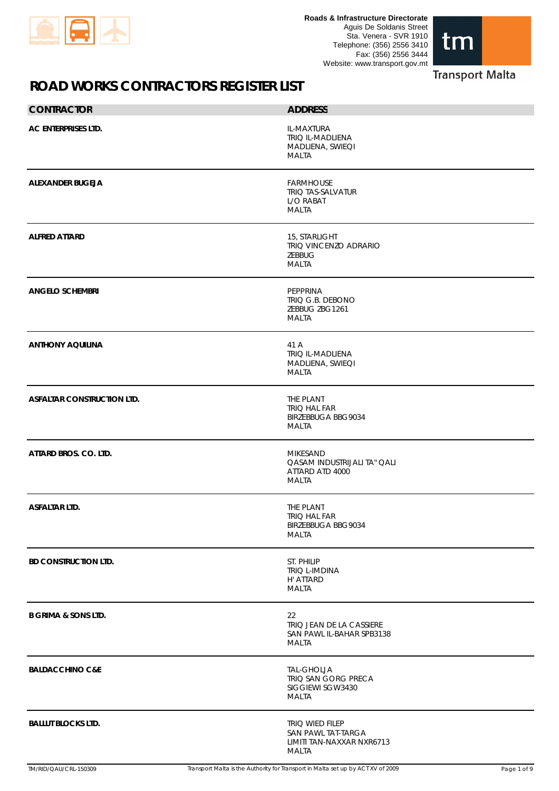



| <b>CONTRACTOR</b>                 | <b>ADDRESS</b>                                                              |
|-----------------------------------|-----------------------------------------------------------------------------|
| AC ENTERPRISES LTD.               | IL-MAXTURA<br><b>TRIQ IL-MADLIENA</b><br>MADLIENA, SWIEQI<br>MALTA          |
| <b>ALEXANDER BUGEJA</b>           | <b>FARMHOUSE</b><br><b>TRIQ TAS-SALVATUR</b><br>L/O RABAT<br><b>MALTA</b>   |
| <b>ALFRED ATTARD</b>              | 15, STARLIGHT<br>TRIQ VINCENZO ADRARIO<br>ZEBBUG<br><b>MALTA</b>            |
| <b>ANGELO SCHEMBRI</b>            | PEPPRINA<br>TRIQ G.B. DEBONO<br>ZEBBUG ZBG1261<br><b>MALTA</b>              |
| <b>ANTHONY AQUILINA</b>           | 41 A<br><b>TRIQ IL-MADLIENA</b><br>MADLIENA, SWIEQI<br><b>MALTA</b>         |
| <b>ASFALTAR CONSTRUCTION LTD.</b> | THE PLANT<br><b>TRIQ HAL FAR</b><br><b>BIRZEBBUGA BBG9034</b><br>MALTA      |
| ATTARD BROS. CO. LTD.             | MIKESAND<br>QASAM INDUSTRIJALI TA" QALI<br>ATTARD ATD 4000<br>MALTA         |
| <b>ASFALTAR LTD.</b>              | THE PLANT<br>TRIQ HAL FAR<br>BIRZEBBUGA BBG9034<br>MALTA                    |
| <b>BD CONSTRUCTION LTD.</b>       | ST. PHILIP<br>TRIQ L-IMDINA<br>H' ATTARD<br><b>MALTA</b>                    |
| <b>B GRIMA &amp; SONS LTD.</b>    | 22<br>TRIQ JEAN DE LA CASSIERE<br>SAN PAWL IL-BAHAR SPB3138<br>MALTA        |
| <b>BALDACCHINO C&amp;E</b>        | <b>TAL-GHOLJA</b><br>TRIQ SAN GORG PRECA<br>SIGGIEWI SGW3430<br>MALTA       |
| <b>BALLUT BLOCKS LTD.</b>         | TRIQ WIED FILEP<br>SAN PAWL TAT-TARGA<br>LIMITI TAN-NAXXAR NXR6713<br>MALTA |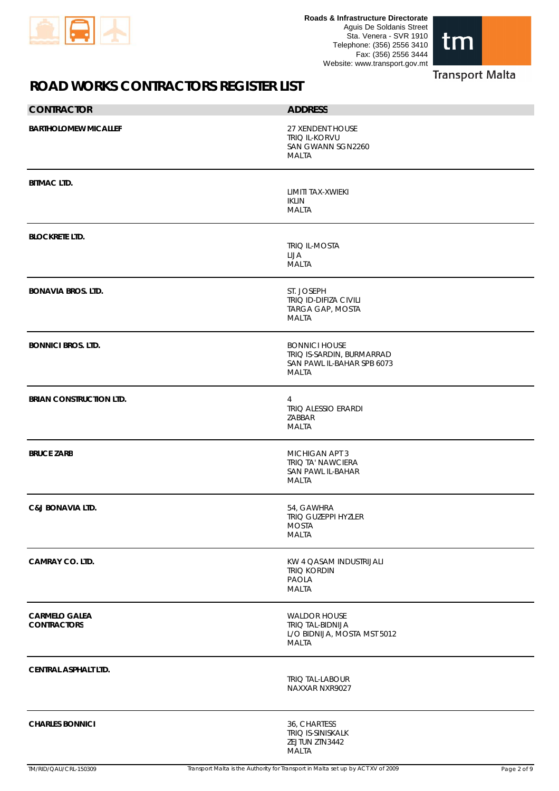



| <b>CONTRACTOR</b>                          | <b>ADDRESS</b>                                                                                  |
|--------------------------------------------|-------------------------------------------------------------------------------------------------|
| <b>BARTHOLOMEW MICALLEF</b>                | 27 XENDENT HOUSE<br><b>TRIQ IL-KORVU</b><br>SAN GWANN SGN2260<br>MALTA                          |
| <b>BITMAC LTD.</b>                         | LIMITI TAX-XWIEKI<br><b>IKLIN</b><br>MALTA                                                      |
| <b>BLOCKRETE LTD.</b>                      | TRIQ IL-MOSTA<br>LIJA<br>MALTA                                                                  |
| <b>BONAVIA BROS. LTD.</b>                  | ST. JOSEPH<br>TRIQ ID-DIFIZA CIVILI<br>TARGA GAP, MOSTA<br>MALTA                                |
| <b>BONNICI BROS. LTD.</b>                  | <b>BONNICI HOUSE</b><br>TRIQ IS-SARDIN, BURMARRAD<br>SAN PAWL IL-BAHAR SPB 6073<br><b>MALTA</b> |
| <b>BRIAN CONSTRUCTION LTD.</b>             | 4<br><b>TRIQ ALESSIO ERARDI</b><br>ZABBAR<br>MALTA                                              |
| <b>BRUCE ZARB</b>                          | MICHIGAN APT 3<br><b>TRIQ TA' NAWCIERA</b><br>SAN PAWL IL-BAHAR<br>MALTA                        |
| <b>C&amp;J BONAVIA LTD.</b>                | 54, GAWHRA<br>TRIQ GUZEPPI HYZLER<br><b>MOSTA</b><br><b>MALTA</b>                               |
| <b>CAMRAY CO. LTD.</b>                     | KW 4 QASAM INDUSTRIJALI<br><b>TRIQ KORDIN</b><br>PAOLA<br><b>MALTA</b>                          |
| <b>CARMELO GALEA</b><br><b>CONTRACTORS</b> | <b>WALDOR HOUSE</b><br><b>TRIQ TAL-BIDNIJA</b><br>L/O BIDNIJA, MOSTA MST 5012<br><b>MALTA</b>   |
| <b>CENTRAL ASPHALT LTD.</b>                | TRIQ TAL-LABOUR<br>NAXXAR NXR9027                                                               |
| <b>CHARLES BONNICI</b>                     | 36, CHARTESS<br>TRIQ IS-SINISKALK<br>ZEJTUN ZTN3442<br>MALTA                                    |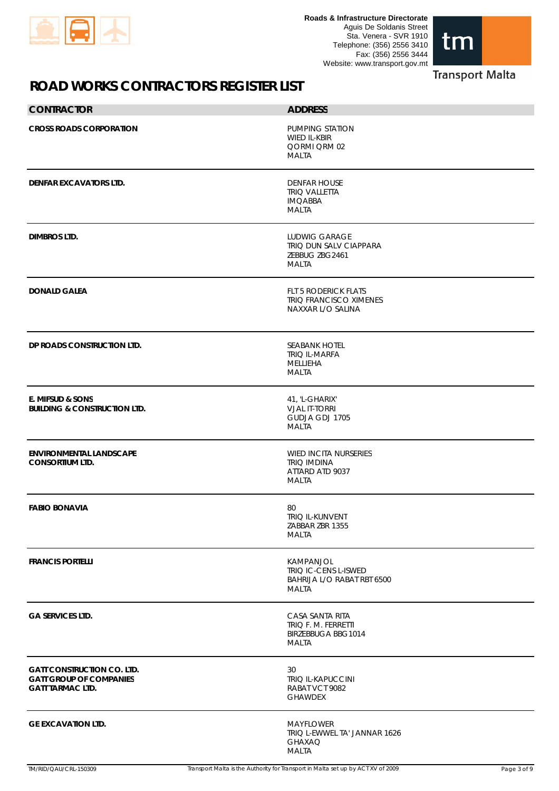



| <b>CONTRACTOR</b>                                                                              | <b>ADDRESS</b>                                                                    |
|------------------------------------------------------------------------------------------------|-----------------------------------------------------------------------------------|
| <b>CROSS ROADS CORPORATION</b>                                                                 | PUMPING STATION<br>WIED IL-KBIR<br>QORMI QRM 02<br>MALTA                          |
| <b>DENFAR EXCAVATORS LTD.</b>                                                                  | <b>DENFAR HOUSE</b><br><b>TRIQ VALLETTA</b><br><b>IMQABBA</b><br>MALTA            |
| <b>DIMBROS LTD.</b>                                                                            | <b>LUDWIG GARAGE</b><br>TRIQ DUN SALV CIAPPARA<br>ZEBBUG ZBG2461<br><b>MALTA</b>  |
| <b>DONALD GALEA</b>                                                                            | <b>FLT 5 RODERICK FLATS</b><br><b>TRIQ FRANCISCO XIMENES</b><br>NAXXAR L/O SALINA |
| DP ROADS CONSTRUCTION LTD.                                                                     | <b>SEABANK HOTEL</b><br><b>TRIQ IL-MARFA</b><br><b>MELLIEHA</b><br><b>MALTA</b>   |
| E. MIFSUD & SONS<br><b>BUILDING &amp; CONSTRUCTION LTD.</b>                                    | 41, 'L-GHARIX'<br><b>VJAL IT-TORRI</b><br>GUDJA GDJ 1705<br>MALTA                 |
| <b>ENVIRONMENTAL LANDSCAPE</b><br><b>CONSORTIUM LTD.</b>                                       | <b>WIED INCITA NURSERIES</b><br><b>TRIQ IMDINA</b><br>ATTARD ATD 9037<br>MALTA    |
| <b>FABIO BONAVIA</b>                                                                           | 80<br>TRIQ IL-KUNVENT<br>ZABBAR ZBR 1355<br><b>MALTA</b>                          |
| <b>FRANCIS PORTELLI</b>                                                                        | KAMPANJOL<br>TRIQ IC-CENS L-ISWED<br>BAHRIJA L/O RABAT RBT 6500<br>MALTA          |
| <b>GA SERVICES LTD.</b>                                                                        | CASA SANTA RITA<br>TRIQ F. M. FERRETTI<br><b>BIRZEBBUGA BBG1014</b><br>MALTA      |
| <b>GATT CONSTRUCTION CO. LTD.</b><br><b>GATT GROUP OF COMPANIES</b><br><b>GATT TARMAC LTD.</b> | 30<br>TRIQ IL-KAPUCCINI<br>RABAT VCT 9082<br><b>GHAWDEX</b>                       |
| <b>GE EXCAVATION LTD.</b>                                                                      | <b>MAYFLOWER</b><br>TRIQ L-EWWEL TA' JANNAR 1626<br><b>GHAXAQ</b><br><b>MALTA</b> |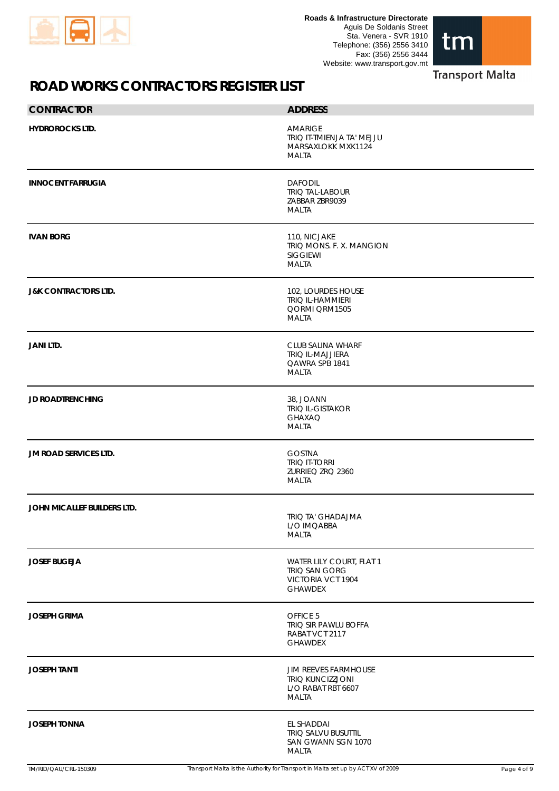

**Roads & Infrastructure Directorate** Aguis De Soldanis Street Sta. Venera - SVR 1910 Telephone: (356) 2556 3410 Fax: (356) 2556 3444 Website: www.transport.gov.mt



#### **Transport Malta**

| <b>CONTRACTOR</b>               | <b>ADDRESS</b>                                                                        |
|---------------------------------|---------------------------------------------------------------------------------------|
| <b>HYDROROCKS LTD.</b>          | <b>AMARIGE</b><br>TRIQ IT-TMIENJA TA' MEJJU<br>MARSAXLOKK MXK1124<br>MALTA            |
| <b>INNOCENT FARRUGIA</b>        | <b>DAFODIL</b><br><b>TRIQ TAL-LABOUR</b><br>ZABBAR ZBR9039<br><b>MALTA</b>            |
| <b>IVAN BORG</b>                | 110, NICJAKE<br>TRIQ MONS. F. X. MANGION<br><b>SIGGIEWI</b><br><b>MALTA</b>           |
| <b>J&amp;K CONTRACTORS LTD.</b> | 102, LOURDES HOUSE<br><b>TRIQ IL-HAMMIERI</b><br>QORMI QRM1505<br>MALTA               |
| <b>JANI LTD.</b>                | CLUB SALINA WHARF<br><b>TRIQ IL-MAJJIERA</b><br>QAWRA SPB 1841<br>MALTA               |
| <b>JD ROADTRENCHING</b>         | 38, JOANN<br>TRIQ IL-GISTAKOR<br><b>GHAXAQ</b><br><b>MALTA</b>                        |
| <b>JM ROAD SERVICES LTD.</b>    | <b>GOSTNA</b><br><b>TRIQ IT-TORRI</b><br>ZURRIEQ ZRQ 2360<br><b>MALTA</b>             |
| JOHN MICALLEF BUILDERS LTD.     | <b>TRIO TA' GHADAJMA</b><br>L/O IMQABBA<br><b>MALTA</b>                               |
| <b>JOSEF BUGEJA</b>             | WATER LILY COURT, FLAT 1<br>TRIQ SAN GORG<br>VICTORIA VCT 1904<br><b>GHAWDEX</b>      |
| <b>JOSEPH GRIMA</b>             | OFFICE 5<br>TRIQ SIR PAWLU BOFFA<br>RABAT VCT 2117<br><b>GHAWDEX</b>                  |
| <b>JOSEPH TANTI</b>             | <b>JIM REEVES FARMHOUSE</b><br>TRIQ KUNCIZZJONI<br>L/O RABAT RBT 6607<br><b>MALTA</b> |
| <b>JOSEPH TONNA</b>             | EL SHADDAI<br>TRIQ SALVU BUSUTTIL<br>SAN GWANN SGN 1070<br><b>MALTA</b>               |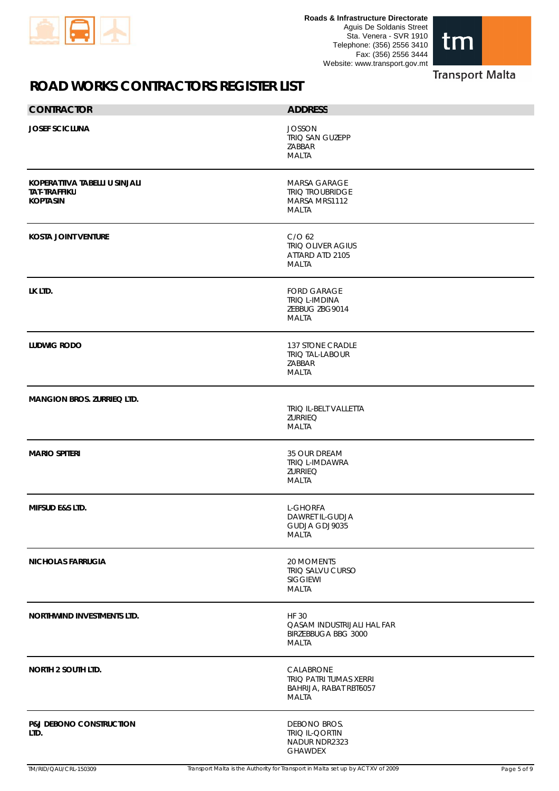



| <b>CONTRACTOR</b>                                                       | <b>ADDRESS</b>                                                                    |
|-------------------------------------------------------------------------|-----------------------------------------------------------------------------------|
| <b>JOSEF SCICLUNA</b>                                                   | <b>JOSSON</b><br>TRIQ SAN GUZEPP<br>ZABBAR<br>MALTA                               |
| KOPERATTIVA TABELLI U SINJALI<br><b>TAT-TRAFFIKU</b><br><b>KOPTASIN</b> | <b>MARSA GARAGE</b><br><b>TRIQ TROUBRIDGE</b><br>MARSA MRS1112<br>MALTA           |
| <b>KOSTA JOINT VENTURE</b>                                              | C/O <sub>62</sub><br>TRIQ OLIVER AGIUS<br>ATTARD ATD 2105<br>MALTA                |
| LK LTD.                                                                 | <b>FORD GARAGE</b><br><b>TRIQ L-IMDINA</b><br>ZEBBUG ZBG9014<br>MALTA             |
| <b>LUDWIG RODO</b>                                                      | <b>137 STONE CRADLE</b><br><b>TRIQ TAL-LABOUR</b><br>ZABBAR<br><b>MALTA</b>       |
| <b>MANGION BROS. ZURRIEQ LTD.</b>                                       | TRIQ IL-BELT VALLETTA<br><b>ZURRIEQ</b><br><b>MALTA</b>                           |
| <b>MARIO SPITERI</b>                                                    | 35 OUR DREAM<br>TRIQ L-IMDAWRA<br><b>ZURRIEQ</b><br><b>MALTA</b>                  |
| <b>MIFSUD E&amp;S LTD.</b>                                              | <b>L-GHORFA</b><br>DAWRET IL-GUDJA<br>GUDJA GDJ9035<br><b>MALTA</b>               |
| <b>NICHOLAS FARRUGIA</b>                                                | 20 MOMENTS<br>TRIQ SALVU CURSO<br>SIGGIEWI<br>MALTA                               |
| NORTHWIND INVESTMENTS LTD.                                              | <b>HF 30</b><br>QASAM INDUSTRIJALI HAL FAR<br>BIRZEBBUGA BBG 3000<br><b>MALTA</b> |
| <b>NORTH 2 SOUTH LTD.</b>                                               | CALABRONE<br>TRIQ PATRI TUMAS XERRI<br>BAHRIJA, RABAT RBT6057<br>MALTA            |
| <b>P&amp;J DEBONO CONSTRUCTION</b><br>LTD.                              | DEBONO BROS.<br>TRIQ IL-QORTIN<br>NADUR NDR2323<br><b>GHAWDEX</b>                 |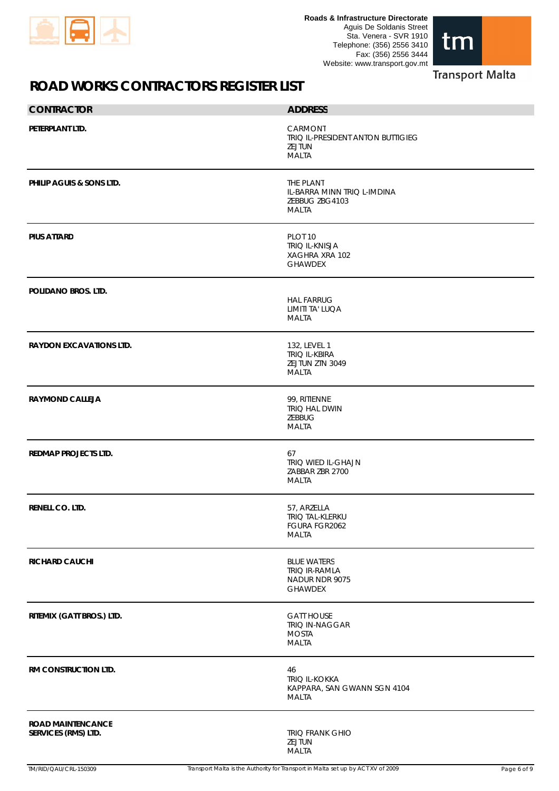



**Transport Malta** 

| <b>CONTRACTOR</b>                               | <b>ADDRESS</b>                                                                  |
|-------------------------------------------------|---------------------------------------------------------------------------------|
| PETERPLANT LTD.                                 | CARMONT<br>TRIQ IL-PRESIDENT ANTON BUTTIGIEG<br>ZEJTUN<br><b>MALTA</b>          |
| PHILIP AGUIS & SONS LTD.                        | THE PLANT<br>IL-BARRA MINN TRIQ L-IMDINA<br>ZEBBUG ZBG4103<br>MALTA             |
| <b>PIUS ATTARD</b>                              | PLOT <sub>10</sub><br><b>TRIQ IL-KNISJA</b><br>XAGHRA XRA 102<br><b>GHAWDEX</b> |
| POLIDANO BROS. LTD.                             | <b>HAL FARRUG</b><br>LIMITI TA' LUQA<br><b>MALTA</b>                            |
| <b>RAYDON EXCAVATIONS LTD.</b>                  | 132, LEVEL 1<br><b>TRIQ IL-KBIRA</b><br>ZEJTUN ZTN 3049<br><b>MALTA</b>         |
| <b>RAYMOND CALLEJA</b>                          | 99, RITIENNE<br>TRIQ HAL DWIN<br>ZEBBUG<br><b>MALTA</b>                         |
| <b>REDMAP PROJECTS LTD.</b>                     | 67<br>TRIQ WIED IL-GHAJN<br>ZABBAR ZBR 2700<br><b>MALTA</b>                     |
| RENELL CO. LTD.                                 | 57, ARZELLA<br><b>TRIQ TAL-KLERKU</b><br>FGURA FGR2062<br><b>MALTA</b>          |
| <b>RICHARD CAUCHI</b>                           | <b>BLUE WATERS</b><br><b>TRIQ IR-RAMLA</b><br>NADUR NDR 9075<br><b>GHAWDEX</b>  |
| RITEMIX (GATT BROS.) LTD.                       | <b>GATT HOUSE</b><br>TRIQ IN-NAGGAR<br><b>MOSTA</b><br><b>MALTA</b>             |
| RM CONSTRUCTION LTD.                            | 46<br><b>TRIQ IL-KOKKA</b><br>KAPPARA, SAN GWANN SGN 4104<br><b>MALTA</b>       |
| <b>ROAD MAINTENCANCE</b><br>SERVICES (RMS) LTD. | <b>TRIQ FRANK GHIO</b><br>ZEJTUN<br><b>MALTA</b>                                |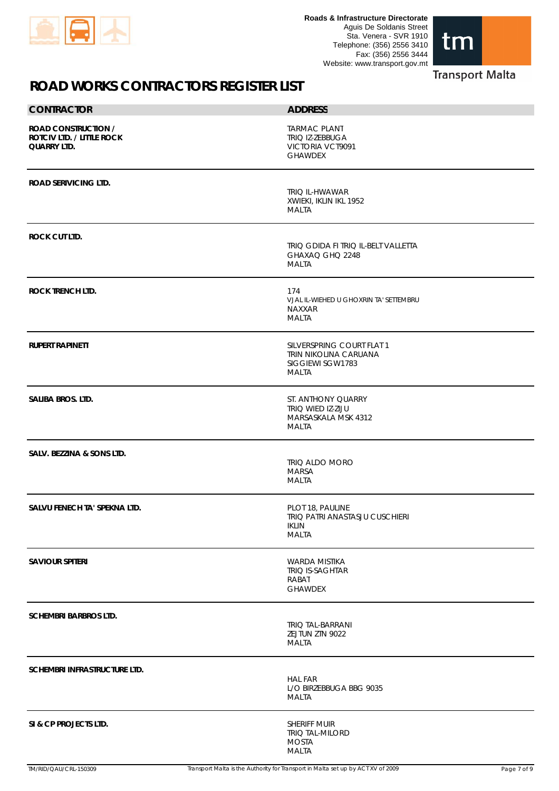



#### **Transport Malta**

| <b>CONTRACTOR</b>                                                                    | <b>ADDRESS</b>                                                                         |
|--------------------------------------------------------------------------------------|----------------------------------------------------------------------------------------|
| <b>ROAD CONSTRUCTION /</b><br><b>ROTCIV LTD. / LITTLE ROCK</b><br><b>QUARRY LTD.</b> | <b>TARMAC PLANT</b><br>TRIQ IZ-ZEBBUGA<br>VICTORIA VCT9091<br><b>GHAWDEX</b>           |
| <b>ROAD SERIVICING LTD.</b>                                                          | <b>TRIQ IL-HWAWAR</b><br>XWIEKI, IKLIN IKL 1952<br><b>MALTA</b>                        |
| <b>ROCK CUT LTD.</b>                                                                 | TRIQ GDIDA FI TRIQ IL-BELT VALLETTA<br>GHAXAQ GHQ 2248<br><b>MALTA</b>                 |
| <b>ROCK TRENCH LTD.</b>                                                              | 174<br>VJAL IL-WIEHED U GHOXRIN TA' SETTEMBRU<br><b>NAXXAR</b><br><b>MALTA</b>         |
| <b>RUPERT RAPINETT</b>                                                               | SILVERSPRING COURT FLAT 1<br>TRIN NIKOLINA CARUANA<br>SIGGIEWI SGW1783<br><b>MALTA</b> |
| SALIBA BROS. LTD.                                                                    | ST. ANTHONY QUARRY<br>TRIQ WIED IZ-ZIJU<br>MARSASKALA MSK 4312<br>MALTA                |
| SALV. BEZZINA & SONS LTD.                                                            | <b>TRIQ ALDO MORO</b><br><b>MARSA</b><br><b>MALTA</b>                                  |
| SALVU FENECH TA' SPEKNA LTD.                                                         | PLOT 18, PAULINE<br>TRIQ PATRI ANASTASJU CUSCHIERI<br>IKLIN<br><b>MALTA</b>            |
| <b>SAVIOUR SPITERI</b>                                                               | <b>WARDA MISTIKA</b><br>TRIQ IS-SAGHTAR<br>RABAT<br><b>GHAWDEX</b>                     |
| <b>SCHEMBRI BARBROS LTD.</b>                                                         | <b>TRIQ TAL-BARRANI</b><br>ZEJTUN ZTN 9022<br>MALTA                                    |
| SCHEMBRI INFRASTRUCTURE LTD.                                                         | <b>HAL FAR</b><br>L/O BIRZEBBUGA BBG 9035<br><b>MALTA</b>                              |
| SI & CP PROJECTS LTD.                                                                | SHERIFF MUIR<br><b>TRIQ TAL-MILORD</b><br><b>MOSTA</b><br><b>MALTA</b>                 |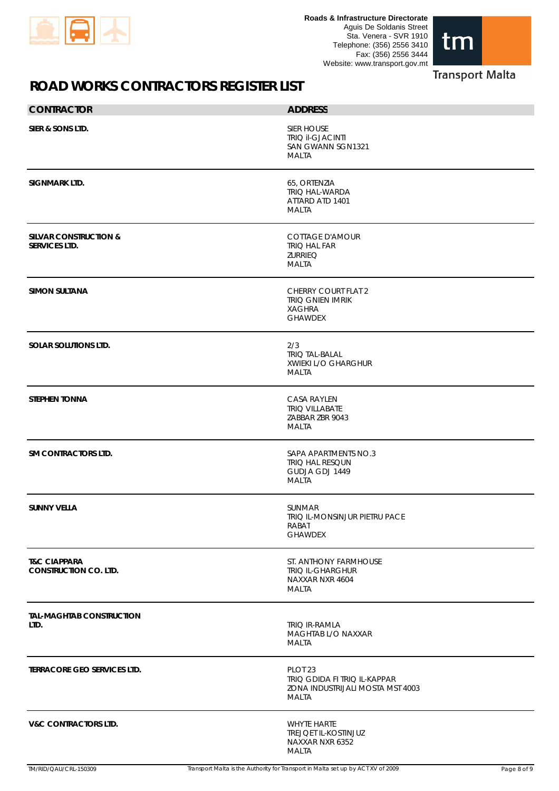



| <b>CONTRACTOR</b>                                        | <b>ADDRESS</b>                                                                                  |             |
|----------------------------------------------------------|-------------------------------------------------------------------------------------------------|-------------|
| SIER & SONS LTD.                                         | <b>SIER HOUSE</b><br><b>TRIQ II-GJACINTI</b><br>SAN GWANN SGN1321<br>MALTA                      |             |
| SIGNMARK LTD.                                            | 65, ORTENZIA<br>TRIQ HAL-WARDA<br>ATTARD ATD 1401<br>MALTA                                      |             |
| <b>SILVAR CONSTRUCTION &amp;</b><br><b>SERVICES LTD.</b> | <b>COTTAGE D'AMOUR</b><br><b>TRIQ HAL FAR</b><br><b>ZURRIEQ</b><br>MALTA                        |             |
| <b>SIMON SULTANA</b>                                     | <b>CHERRY COURT FLAT 2</b><br><b>TRIQ GNIEN IMRIK</b><br><b>XAGHRA</b><br><b>GHAWDEX</b>        |             |
| <b>SOLAR SOLUTIONS LTD.</b>                              | 2/3<br><b>TRIQ TAL-BALAL</b><br>XWIEKI L/O GHARGHUR<br>MALTA                                    |             |
| <b>STEPHEN TONNA</b>                                     | <b>CASA RAYLEN</b><br><b>TRIQ VILLABATE</b><br>ZABBAR ZBR 9043<br>MALTA                         |             |
| <b>SM CONTRACTORS LTD.</b>                               | SAPA APARTMENTS NO.3<br>TRIQ HAL RESQUN<br>GUDJA GDJ 1449<br>MALTA                              |             |
| <b>SUNNY VELLA</b>                                       | SUNMAR<br>TRIQ IL-MONSINJUR PIETRU PACE<br>RABAT<br><b>GHAWDEX</b>                              |             |
| <b>T&amp;C CIAPPARA</b><br><b>CONSTRUCTION CO. LTD.</b>  | ST. ANTHONY FARMHOUSE<br><b>TRIQ IL-GHARGHUR</b><br>NAXXAR NXR 4604<br>MALTA                    |             |
| <b>TAL-MAGHTAB CONSTRUCTION</b><br>LTD.                  | TRIQ IR-RAMLA<br>MAGHTAB L/O NAXXAR<br><b>MALTA</b>                                             |             |
| <b>TERRACORE GEO SERVICES LTD.</b>                       | PLOT <sub>23</sub><br>TRIQ GDIDA FI TRIQ IL-KAPPAR<br>ZONA INDUSTRIJALI MOSTA MST 4003<br>MALTA |             |
| <b>V&amp;C CONTRACTORS LTD.</b>                          | <b>WHYTE HARTE</b><br><b>TREJQET IL-KOSTINJUZ</b><br>NAXXAR NXR 6352<br>MALTA                   |             |
| TM/RID/QAU/CRL-150309                                    | Transport Malta is the Authority for Transport in Malta set up by ACT XV of 2009                | Page 8 of 9 |